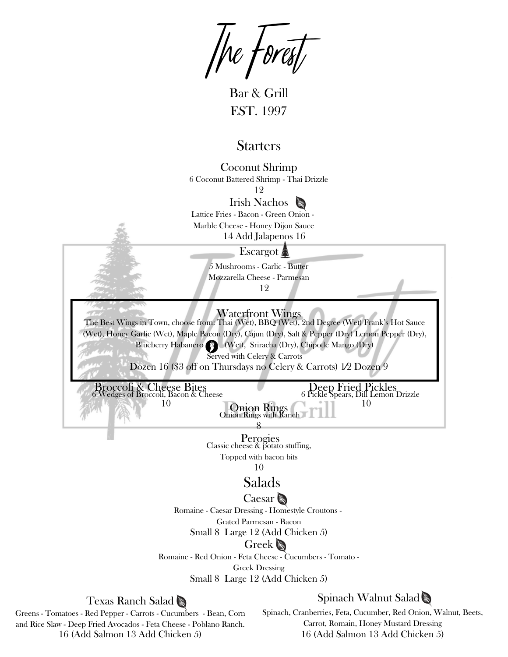$\sqrt{\text{Re}} \sqrt{\text{best}}$ 

Bar & Grill EST. 1997

## **Starters**

Coconut Shrimp 6 Coconut Battered Shrimp - Thai Drizzle

Irish Nachos 12

Lattice Fries - Bacon - Green Onion -

Marble Cheese - Honey Dijon Sauce

14 Add Jalapenos 16

## Escargot<sub>s</sub>

5 Mushrooms - Garlic - Butter Mozzarella Cheese - Parmesan 12

Waterfront Wings

The Best Wings in Town, choose from: Thai (Wet), BBQ (Wet), 2nd Degree (Wet) Frank's Hot Sauce (Wet), Honey Garlic (Wet), Maple Bacon (Dry), Cajun (Dry), Salt & Pepper (Dry) Lemon Pepper (Dry), Blueberry Habanero (Wet), Sriracha (Dry), Chipotle Mango (Dry) Served with Celery & Carrots

Dozen 16 (\$3 off on Thursdays no Celery & Carrots) 1⁄2 Dozen 9

Broccoli & Cheese Bites 6 Wedges of Broccoli, Bacon & Cheese 10

Deep Fried Pickles 6 Pickle Spears, Dill Lemon Drizzle 10

Perogies Classic cheese & potato stuffing, Topped with bacon bits 8

Onion Rings Onion Rings with Ranch

10

# Salads

## Caesar

Romaine - Caesar Dressing - Homestyle Croutons -

Grated Parmesan - Bacon

Small 8 Large 12 (Add Chicken 5)

### Greek

Romaine - Red Onion - Feta Cheese - Cucumbers - Tomato -

Greek Dressing

Small 8 Large 12 (Add Chicken 5)

## Texas Ranch Salad

Greens - Tomatoes - Red Pepper - Carrots - Cucumbers - Bean, Corn and Rice Slaw - Deep Fried Avocados - Feta Cheese - Poblano Ranch. 16 (Add Salmon 13 Add Chicken 5)

Spinach Walnut Salad

Spinach, Cranberries, Feta, Cucumber, Red Onion, Walnut, Beets, Carrot, Romain, Honey Mustard Dressing 16 (Add Salmon 13 Add Chicken 5)